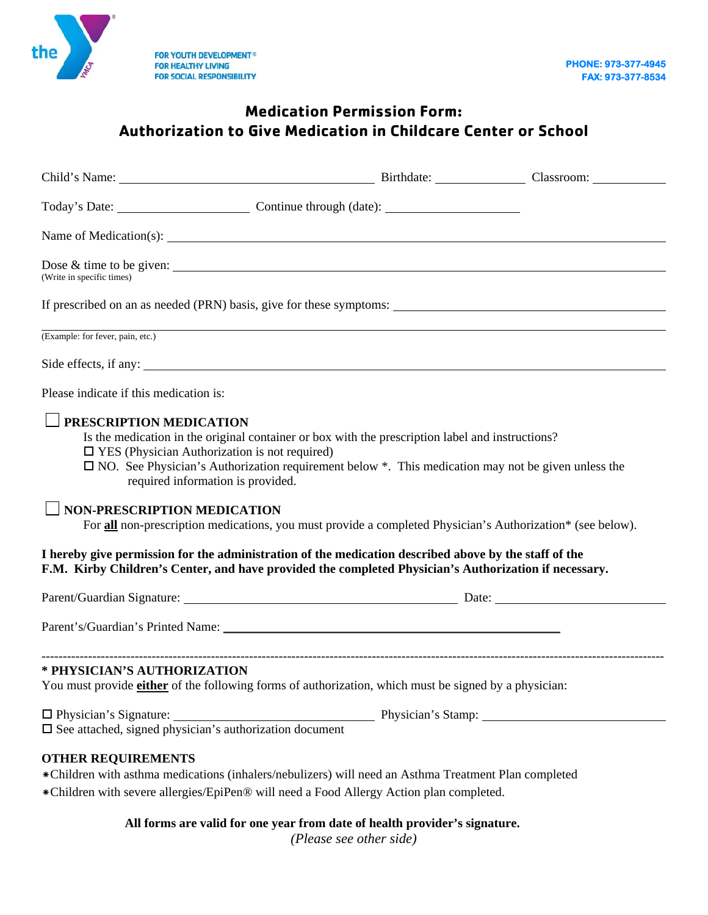

## **Medication Permission Form: Authorization to Give Medication in Childcare Center or School**

| Name of Medication(s):                                                                                                                                                                                                                                                                                                                                                                                                                                                                                                                                                                                                                                                                                         |  |
|----------------------------------------------------------------------------------------------------------------------------------------------------------------------------------------------------------------------------------------------------------------------------------------------------------------------------------------------------------------------------------------------------------------------------------------------------------------------------------------------------------------------------------------------------------------------------------------------------------------------------------------------------------------------------------------------------------------|--|
| Dose $\&$ time to be given:<br>(Write in specific times)                                                                                                                                                                                                                                                                                                                                                                                                                                                                                                                                                                                                                                                       |  |
|                                                                                                                                                                                                                                                                                                                                                                                                                                                                                                                                                                                                                                                                                                                |  |
| (Example: for fever, pain, etc.)                                                                                                                                                                                                                                                                                                                                                                                                                                                                                                                                                                                                                                                                               |  |
|                                                                                                                                                                                                                                                                                                                                                                                                                                                                                                                                                                                                                                                                                                                |  |
| Please indicate if this medication is:                                                                                                                                                                                                                                                                                                                                                                                                                                                                                                                                                                                                                                                                         |  |
| PRESCRIPTION MEDICATION<br>Is the medication in the original container or box with the prescription label and instructions?<br>$\Box$ YES (Physician Authorization is not required)<br>$\Box$ NO. See Physician's Authorization requirement below $*$ . This medication may not be given unless the<br>required information is provided.<br><b>NON-PRESCRIPTION MEDICATION</b><br>For all non-prescription medications, you must provide a completed Physician's Authorization* (see below).<br>I hereby give permission for the administration of the medication described above by the staff of the<br>F.M. Kirby Children's Center, and have provided the completed Physician's Authorization if necessary. |  |
| Parent/Guardian Signature: Date: Date:                                                                                                                                                                                                                                                                                                                                                                                                                                                                                                                                                                                                                                                                         |  |
|                                                                                                                                                                                                                                                                                                                                                                                                                                                                                                                                                                                                                                                                                                                |  |
| * PHYSICIAN'S AUTHORIZATION<br>You must provide either of the following forms of authorization, which must be signed by a physician:                                                                                                                                                                                                                                                                                                                                                                                                                                                                                                                                                                           |  |
| $\Box$ Physician's Signature:<br>$\Box$ Physician's Signature: $\Box$ Physician's Stamp: $\Box$ See attached, signed physician's authorization document                                                                                                                                                                                                                                                                                                                                                                                                                                                                                                                                                        |  |
| <b>OTHER REQUIREMENTS</b><br>*Children with asthma medications (inhalers/nebulizers) will need an Asthma Treatment Plan completed<br>*Children with severe allergies/EpiPen® will need a Food Allergy Action plan completed.                                                                                                                                                                                                                                                                                                                                                                                                                                                                                   |  |

**All forms are valid for one year from date of health provider's signature.** 

*(Please see other side)*